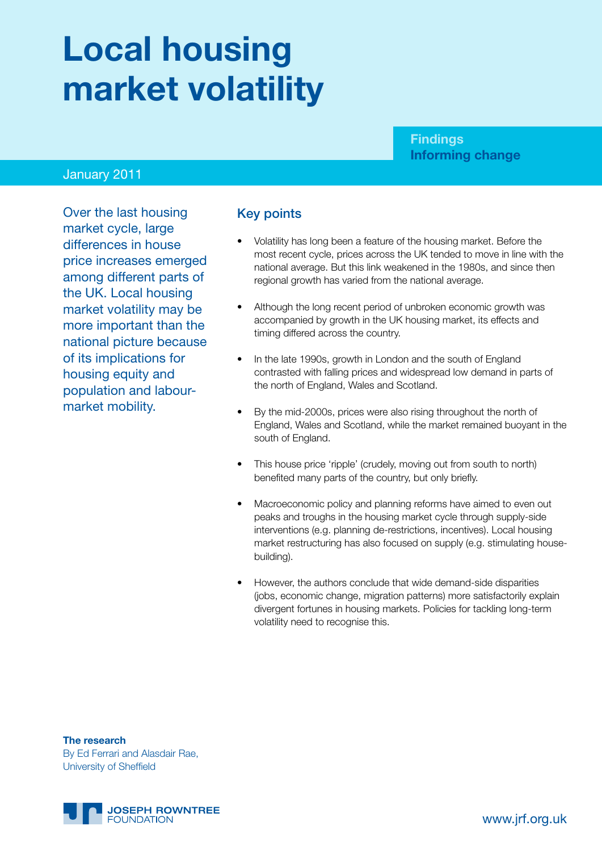# **Local housing market volatility**

#### **Findings Informing change**

#### January 2011

Over the last housing market cycle, large differences in house price increases emerged among different parts of the UK. Local housing market volatility may be more important than the national picture because of its implications for housing equity and population and labourmarket mobility.

#### Key points

- Volatility has long been a feature of the housing market. Before the most recent cycle, prices across the UK tended to move in line with the national average. But this link weakened in the 1980s, and since then regional growth has varied from the national average.
- Although the long recent period of unbroken economic growth was accompanied by growth in the UK housing market, its effects and timing differed across the country.
- In the late 1990s, growth in London and the south of England contrasted with falling prices and widespread low demand in parts of the north of England, Wales and Scotland.
- By the mid-2000s, prices were also rising throughout the north of England, Wales and Scotland, while the market remained buoyant in the south of England.
- This house price 'ripple' (crudely, moving out from south to north) benefited many parts of the country, but only briefly.
- Macroeconomic policy and planning reforms have aimed to even out peaks and troughs in the housing market cycle through supply-side interventions (e.g. planning de-restrictions, incentives). Local housing market restructuring has also focused on supply (e.g. stimulating housebuilding).
- However, the authors conclude that wide demand-side disparities (jobs, economic change, migration patterns) more satisfactorily explain divergent fortunes in housing markets. Policies for tackling long-term volatility need to recognise this.

**The research** By Ed Ferrari and Alasdair Rae, University of Sheffield

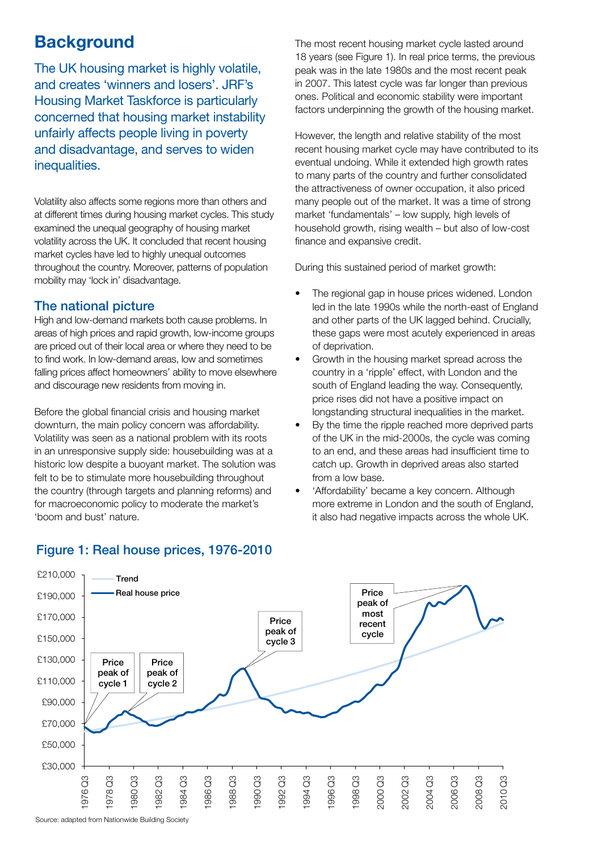# **Background**

The UK housing market is highly volatile, and creates 'winners and losers'. JRF's Housing Market Taskforce is particularly concerned that housing market instability unfairly affects people living in poverty and disadvantage, and serves to widen inequalities.

Volatility also affects some regions more than others and at different times during housing market cycles. This study examined the unequal geography of housing market volatility across the UK. It concluded that recent housing market cycles have led to highly unequal outcomes throughout the country. Moreover, patterns of population mobility may 'lock in' disadvantage.

#### The national picture

High and low-demand markets both cause problems. In areas of high prices and rapid growth, low-income groups are priced out of their local area or where they need to be to find work. In low-demand areas, low and sometimes falling prices affect homeowners' ability to move elsewhere and discourage new residents from moving in.

Before the global financial crisis and housing market downturn, the main policy concern was affordability. Volatility was seen as a national problem with its roots in an unresponsive supply side: housebuilding was at a historic low despite a buoyant market. The solution was felt to be to stimulate more housebuilding throughout the country (through targets and planning reforms) and for macroeconomic policy to moderate the market's 'boom and bust' nature.

The most recent housing market cycle lasted around 18 years (see Figure 1). In real price terms, the previous peak was in the late 1980s and the most recent peak in 2007. This latest cycle was far longer than previous ones. Political and economic stability were important factors underpinning the growth of the housing market.

However, the length and relative stability of the most recent housing market cycle may have contributed to its eventual undoing. While it extended high growth rates to many parts of the country and further consolidated the attractiveness of owner occupation, it also priced many people out of the market. It was a time of strong market 'fundamentals' – low supply, high levels of household growth, rising wealth – but also of low-cost finance and expansive credit.

During this sustained period of market growth:

- The regional gap in house prices widened. London led in the late 1990s while the north-east of England and other parts of the UK lagged behind. Crucially, these gaps were most acutely experienced in areas of deprivation.
- Growth in the housing market spread across the country in a 'ripple' effect, with London and the south of England leading the way. Consequently, price rises did not have a positive impact on longstanding structural inequalities in the market.
- By the time the ripple reached more deprived parts of the UK in the mid-2000s, the cycle was coming to an end, and these areas had insufficient time to catch up. Growth in deprived areas also started from a low base.
- 'Affordability' became a key concern. Although more extreme in London and the south of England, it also had negative impacts across the whole UK.



#### Figure 1: Real house prices, 1976-2010

Source: adapted from Nationwide Building Society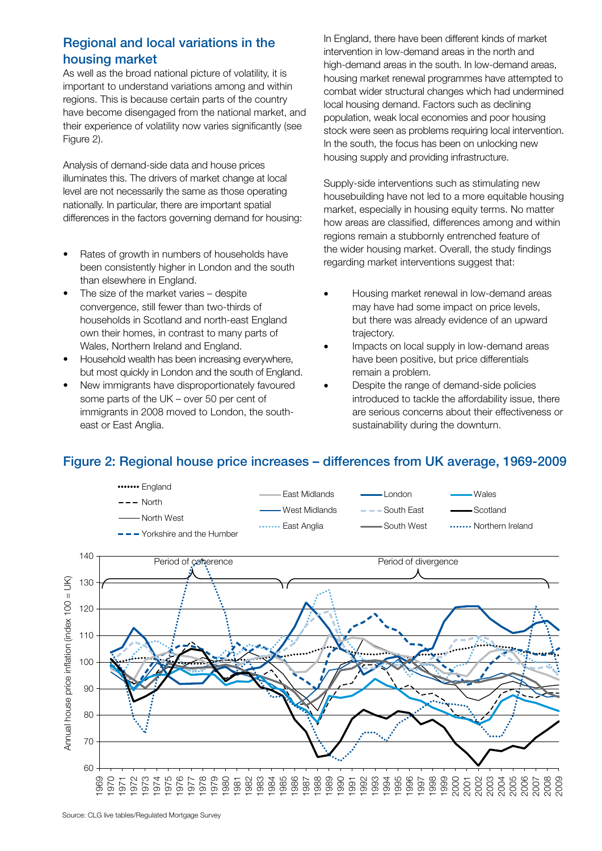# Regional and local variations in the housing market

As well as the broad national picture of volatility, it is important to understand variations among and within regions. This is because certain parts of the country have become disengaged from the national market, and their experience of volatility now varies significantly (see Figure 2).  $\overline{1}$ 

Analysis of demand-side data and house prices illuminates this. The drivers of market change at local level are not necessarily the same as those operating nationally. In particular, there are important spatial rationally: in particular, there are important openion<br>differences in the factors governing demand for housing: peak of o fac peak on

- Rates of growth in numbers of households have been consistently higher in London and the south than elsewhere in England.
- The size of the market varies despite convergence, still fewer than two-thirds of households in Scotland and north-east England own their homes, in contrast to many parts of<br>Wales, Northern Ireland and England.<br>Housebold wealth has been increasing overwh Wales, Northern Ireland and England. own their homes, in contrast to many parts of<br>Wales, Northern Ireland and England.<br>• Household wealth has been increasing everywhere,
- but most quickly in London and the south of England.
- New immigrants have disproportionately favoured some parts of the UK – over 50 per cent of immigrants in 2008 moved to London, the southeast or East Anglia.

In England, there have been different kinds of market intervention in low-demand areas in the north and high-demand areas in the south. In low-demand areas, housing market renewal programmes have attempted to combat wider structural changes which had undermined local housing demand. Factors such as declining population, weak local economies and poor housing stock were seen as problems requiring local intervention. In the south, the focus has been on unlocking new housing supply and providing infrastructure.

Supply-side interventions such as stimulating new housebuilding have not led to a more equitable housing market, especially in housing equity terms. No matter how areas are classified, differences among and within regions remain a stubbornly entrenched feature of the wider housing market. Overall, the study findings regarding market interventions suggest that: erver

- Housing market renewal in low-demand areas may have had some impact on price levels, but there was already evidence of an upward trajectory.
- • Impacts on local supply in low-demand areas have been positive, but price differentials remain a problem. trajectory.<br>Impacts on local supply in low-demand ar<br>2019 been positive. but price differentials
- Despite the range of demand-side policies introduced to tackle the affordability issue, there are serious concerns about their effectiveness or sustainability during the downturn.